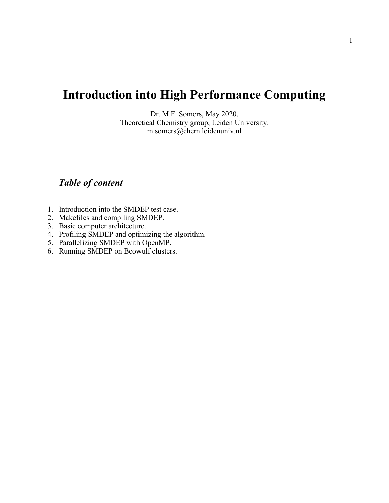# **Introduction into High Performance Computing**

Dr. M.F. Somers, May 2020. Theoretical Chemistry group, Leiden University. m.somers@chem.leidenuniv.nl

## *Table of content*

- 1. Introduction into the SMDEP test case.
- 2. Makefiles and compiling SMDEP.
- 3. Basic computer architecture.
- 4. Profiling SMDEP and optimizing the algorithm.
- 5. Parallelizing SMDEP with OpenMP.
- 6. Running SMDEP on Beowulf clusters.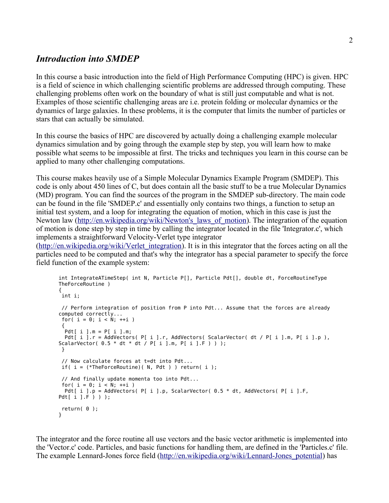## *Introduction into SMDEP*

In this course a basic introduction into the field of High Performance Computing (HPC) is given. HPC is a field of science in which challenging scientific problems are addressed through computing. These challenging problems often work on the boundary of what is still just computable and what is not. Examples of those scientific challenging areas are i.e. protein folding or molecular dynamics or the dynamics of large galaxies. In these problems, it is the computer that limits the number of particles or stars that can actually be simulated.

In this course the basics of HPC are discovered by actually doing a challenging example molecular dynamics simulation and by going through the example step by step, you will learn how to make possible what seems to be impossible at first. The tricks and techniques you learn in this course can be applied to many other challenging computations.

This course makes heavily use of a Simple Molecular Dynamics Example Program (SMDEP). This code is only about 450 lines of C, but does contain all the basic stuff to be a true Molecular Dynamics (MD) program. You can find the sources of the program in the SMDEP sub-directory. The main code can be found in the file 'SMDEP.c' and essentially only contains two things, a function to setup an initial test system, and a loop for integrating the equation of motion, which in this case is just the Newton law (http://en.wikipedia.org/wiki/Newton's laws of motion). The integration of the equation of motion is done step by step in time by calling the integrator located in the file 'Integrator.c', which implements a straightforward Velocity-Verlet type integrator

[\(http://en.wikipedia.org/wiki/Verlet\\_integration\)](http://en.wikipedia.org/wiki/Verlet_integration). It is in this integrator that the forces acting on all the particles need to be computed and that's why the integrator has a special parameter to specify the force field function of the example system:

```
int IntegrateATimeStep( int N, Particle P[], Particle Pdt[], double dt, ForceRoutineType 
TheForceRoutine )
{
 int i;
 // Perform integration of position from P into Pdt... Assume that the forces are already 
computed correctly...
for( i = 0; i < N; ++i )
 {
 Pdt[ i ].m = P[i ].m;Pdt[ i ].r = AddVectors( P[ i ].r, AddVectors( ScalarVector( dt / P[ i ].m, P[ i ].p ),
ScalarVector( 0.5 * dt * dt / P[i] .m, P[i] .F) ) );
 }
 // Now calculate forces at t=dt into Pdt...
if( i = (*TheForceRoutine)( N, Pdt ) ) return( i );
 // And finally update momenta too into Pdt...
for( i = 0; i < N; ++i)
 Pdt[ i ].p = AddVectors( P[ i ].p, ScalarVector( 0.5 * dt, AddVectors( P[ i ].F,
Pdt[ i ].F ) ) );
 return( 0 );
}
```
The integrator and the force routine all use vectors and the basic vector arithmetic is implemented into the 'Vector.c' code. Particles, and basic functions for handling them, are defined in the 'Particles.c' file. The example Lennard-Jones force field [\(http://en.wikipedia.org/wiki/Lennard-Jones\\_potential\)](http://en.wikipedia.org/wiki/Lennard-Jones_potential) has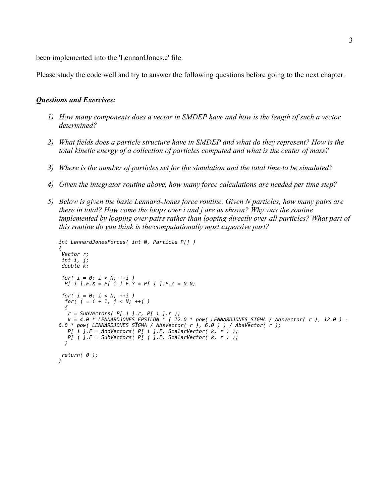been implemented into the 'LennardJones.c' file.

Please study the code well and try to answer the following questions before going to the next chapter.

#### *Questions and Exercises:*

- *1) How many components does a vector in SMDEP have and how is the length of such a vector determined?*
- *2) What fields does a particle structure have in SMDEP and what do they represent? How is the total kinetic energy of a collection of particles computed and what is the center of mass?*
- *3) Where is the number of particles set for the simulation and the total time to be simulated?*
- *4) Given the integrator routine above, how many force calculations are needed per time step?*
- *5) Below is given the basic Lennard-Jones force routine. Given N particles, how many pairs are there in total? How come the loops over i and j are as shown? Why was the routine implemented by looping over pairs rather than looping directly over all particles? What part of this routine do you think is the computationally most expensive part?*

```
int LennardJonesForces( int N, Particle P[] )
{
 Vector r;
 int i, j;
 double k;
  for( i = 0; i < N; ++i )
  P[ i ].F.X = P[ i ].F.Y = P[ i ].F.Z = 0.0;
 for( i = 0; i < N; ++i )
  for( j = i + 1; j < N; ++j )
   {
    r = SubVectors( P[ j ].r, P[ i ].r );
    k = 4.0 * LENNARDJONES_EPSILON * ( 12.0 * pow( LENNARDJONES_SIGMA / AbsVector( r ), 12.0 ) - 
6.0 * pow( LENNARDJONES_SIGMA / AbsVector( r ), 6.0 ) ) / AbsVector( r );
 P[ i ].F = AddVectors( P[ i ].F, ScalarVector( k, r ) );
 P[ j ].F = SubVectors( P[ j ].F, ScalarVector( k, r ) );
  }
 return( 0 );
}
```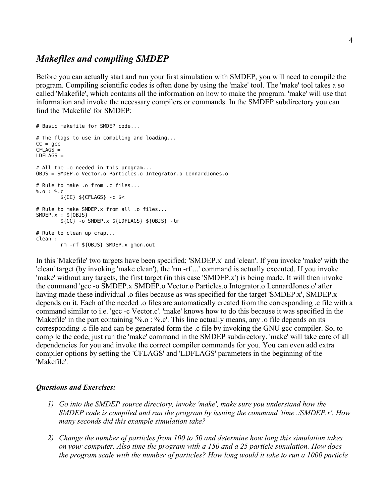## *Makefiles and compiling SMDEP*

Before you can actually start and run your first simulation with SMDEP, you will need to compile the program. Compiling scientific codes is often done by using the 'make' tool. The 'make' tool takes a so called 'Makefile', which contains all the information on how to make the program. 'make' will use that information and invoke the necessary compilers or commands. In the SMDEP subdirectory you can find the 'Makefile' for SMDEP:

```
# Basic makefile for SMDEP code...
# The flags to use in compiling and loading...
CC = gccCFLAG\bar{S} =
LDFLAGS =# All the .o needed in this program...
OBJS = SMDEP.o Vector.o Particles.o Integrator.o LennardJones.o
# Rule to make .o from .c files...
%.o : %.c
         ${CC} ${CFLAGS} -c $<
# Rule to make SMDEP.x from all .o files...
SMDEP.x : ${OBJS}
        ${CC} -o SMDEP.x ${LDFLAGS} ${OBJS} -lm
# Rule to clean up crap...
clean :
         rm -rf ${OBJS} SMDEP.x gmon.out
```
In this 'Makefile' two targets have been specified; 'SMDEP.x' and 'clean'. If you invoke 'make' with the 'clean' target (by invoking 'make clean'), the 'rm -rf ...' command is actually executed. If you invoke 'make' without any targets, the first target (in this case 'SMDEP.x') is being made. It will then invoke the command 'gcc -o SMDEP.x SMDEP.o Vector.o Particles.o Integrator.o LennardJones.o' after having made these individual .o files because as was specified for the target 'SMDEP.x', SMDEP.x' depends on it. Each of the needed .o files are automatically created from the corresponding .c file with a command similar to i.e. 'gcc -c Vector.c'. 'make' knows how to do this because it was specified in the 'Makefile' in the part containing '%.o : %.c'. This line actually means, any .o file depends on its corresponding .c file and can be generated form the .c file by invoking the GNU gcc compiler. So, to compile the code, just run the 'make' command in the SMDEP subdirectory. 'make' will take care of all dependencies for you and invoke the correct compiler commands for you. You can even add extra compiler options by setting the 'CFLAGS' and 'LDFLAGS' parameters in the beginning of the 'Makefile'.

### *Questions and Exercises:*

- *1) Go into the SMDEP source directory, invoke 'make', make sure you understand how the SMDEP code is compiled and run the program by issuing the command 'time ./SMDEP.x'. How many seconds did this example simulation take?*
- *2) Change the number of particles from 100 to 50 and determine how long this simulation takes on your computer. Also time the program with a 150 and a 25 particle simulation. How does the program scale with the number of particles? How long would it take to run a 1000 particle*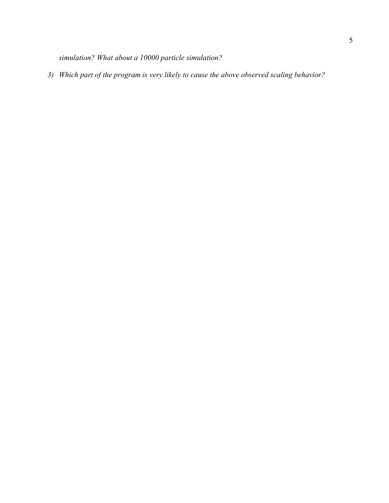*simulation? What about a 10000 particle simulation?*

*3) Which part of the program is very likely to cause the above observed scaling behavior?*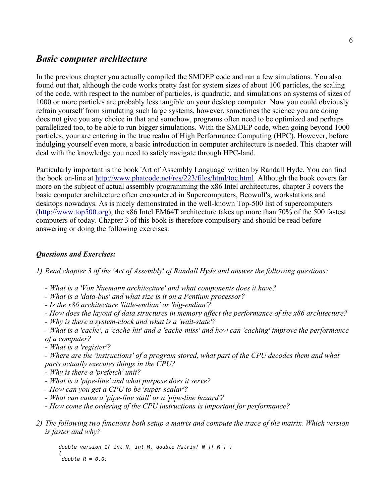## *Basic computer architecture*

In the previous chapter you actually compiled the SMDEP code and ran a few simulations. You also found out that, although the code works pretty fast for system sizes of about 100 particles, the scaling of the code, with respect to the number of particles, is quadratic, and simulations on systems of sizes of 1000 or more particles are probably less tangible on your desktop computer. Now you could obviously refrain yourself from simulating such large systems, however, sometimes the science you are doing does not give you any choice in that and somehow, programs often need to be optimized and perhaps parallelized too, to be able to run bigger simulations. With the SMDEP code, when going beyond 1000 particles, your are entering in the true realm of High Performance Computing (HPC). However, before indulging yourself even more, a basic introduction in computer architecture is needed. This chapter will deal with the knowledge you need to safely navigate through HPC-land.

Particularly important is the book 'Art of Assembly Language' written by Randall Hyde. You can find the book on-line at [http://www.phatcode.net/res/223/files/html/toc.html.](http://www.phatcode.net/res/223/files/html/toc.html) Although the book covers far more on the subject of actual assembly programming the x86 Intel architectures, chapter 3 covers the basic computer architecture often encountered in Supercomputers, Beowulf's, workstations and desktops nowadays. As is nicely demonstrated in the well-known Top-500 list of supercomputers [\(http://www.top500.org\)](http://www.top500.org/), the x86 Intel EM64T architecture takes up more than 70% of the 500 fastest computers of today. Chapter 3 of this book is therefore compulsory and should be read before answering or doing the following exercises.

### *Questions and Exercises:*

*1) Read chapter 3 of the 'Art of Assembly' of Randall Hyde and answer the following questions:*

- *What is a 'Von Nuemann architecture' and what components does it have?*
- *What is a 'data-bus' and what size is it on a Pentium processor?*
- *Is the x86 architecture 'little-endian' or 'big-endian'?*
- *How does the layout of data structures in memory affect the performance of the x86 architecture?*
- *Why is there a system-clock and what is a 'wait-state'?*

*- What is a 'cache', a 'cache-hit' and a 'cache-miss' and how can 'caching' improve the performance of a computer?*

*- What is a 'register'?*

*- Where are the 'instructions' of a program stored, what part of the CPU decodes them and what parts actually executes things in the CPU?*

- *Why is there a 'prefetch' unit?*
- *What is a 'pipe-line' and what purpose does it serve?*
- *How can you get a CPU to be 'super-scalar'?*
- *What can cause a 'pipe-line stall' or a 'pipe-line hazard'?*
- *How come the ordering of the CPU instructions is important for performance?*
- *2) The following two functions both setup a matrix and compute the trace of the matrix. Which version is faster and why?*

*double version\_1( int N, int M, double Matrix[ N ][ M ] ) { double R = 0.0;*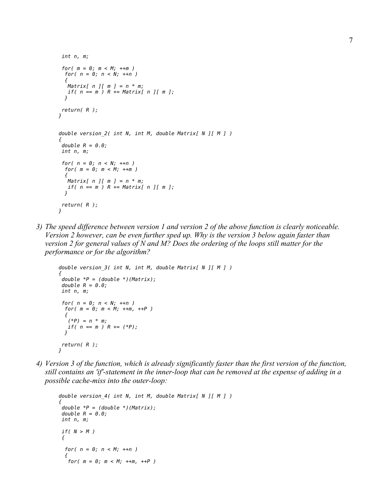```
 int n, m;
  for( m = 0; m < M; ++m )
  for( n = 0; n < N; ++n )
 {
   Matrix[ n ][ m ] = n * m;
   if( n == m ) R += Matrix[ n ][ m ];
   }
 return( R );
}
double version_2( int N, int M, double Matrix[ N ][ M ] )
{
  double R = 0.0;
 int n, m;
  for( n = 0; n < N; ++n )
  for( m = 0; m < M; ++m )
 {
   Matrix[ n ][ m ] = n * m;
   if( n == m ) R += Matrix[ n ][ m ];
   }
 return( R );
}
```
*3) The speed difference between version 1 and version 2 of the above function is clearly noticeable. Version 2 however, can be even further sped up. Why is the version 3 below again faster than version 2 for general values of N and M? Does the ordering of the loops still matter for the performance or for the algorithm?*

```
double version_3( int N, int M, double Matrix[ N ][ M ] )
{
 double *P = (double *)(Matrix);
 double R = 0.0;
 int n, m;
 for( n = 0; n < N; ++n )
  for( m = 0; m < M; ++m, ++P )
   {
    (*P) = n * m;
   if( n == m ) R += (*P);
 }
 return( R );
}
```
*4) Version 3 of the function, which is already significantly faster than the first version of the function, still contains an 'if'-statement in the inner-loop that can be removed at the expense of adding in a possible cache-miss into the outer-loop:*

```
double version_4( int N, int M, double Matrix[ N ][ M ] )
{
 double *P = (double *)(Matrix);
 double R = 0.0;
 int n, m;
 if( N > M ) 
 {
   for( n = 0; n < M; ++n )
 {
 for( m = 0; m < M; ++m, ++P )
```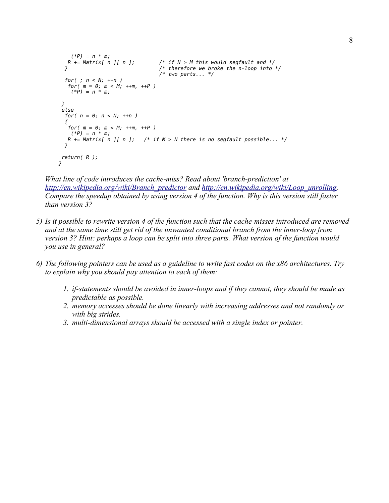```
 (*P) = n * m;
                             f^* if N > M this would segfault and */
  } /* therefore we broke the n-loop into */
                                /* two parts... */
  for( ; n < N; ++n )
   for( m = 0; m < M; ++m, ++P )
    (*P) = n * m;
 }
 else
  for( n = 0; n < N; ++n ) 
  {
   for( m = 0; m < M; ++m, ++P )
   (^{\ast}P) = n \times m; R += Matrix[ n ][ n ]; /* if M > N there is no segfault possible... */
 }
 return( R );
}
```
*What line of code introduces the cache-miss? Read about 'branch-prediction' at [http://en.wikipedia.org/wiki/Branch\\_predictor](http://en.wikipedia.org/wiki/Branch_predictor) and [http://en.wikipedia.org/wiki/Loop\\_unrolling.](http://en.wikipedia.org/wiki/Loop_unrolling) Compare the speedup obtained by using version 4 of the function. Why is this version still faster than version 3?*

- *5) Is it possible to rewrite version 4 of the function such that the cache-misses introduced are removed and at the same time still get rid of the unwanted conditional branch from the inner-loop from version 3? Hint: perhaps a loop can be split into three parts. What version of the function would you use in general?*
- *6) The following pointers can be used as a guideline to write fast codes on the x86 architectures. Try to explain why you should pay attention to each of them:*
	- *1. if-statements should be avoided in inner-loops and if they cannot, they should be made as predictable as possible.*
	- *2. memory accesses should be done linearly with increasing addresses and not randomly or with big strides.*
	- *3. multi-dimensional arrays should be accessed with a single index or pointer.*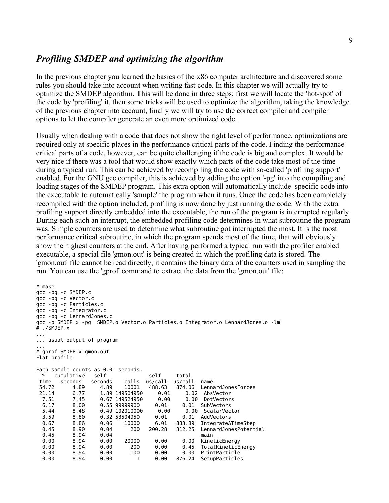## *Profiling SMDEP and optimizing the algorithm*

In the previous chapter you learned the basics of the x86 computer architecture and discovered some rules you should take into account when writing fast code. In this chapter we will actually try to optimize the SMDEP algorithm. This will be done in three steps; first we will locate the 'hot-spot' of the code by 'profiling' it, then some tricks will be used to optimize the algorithm, taking the knowledge of the previous chapter into account, finally we will try to use the correct compiler and compiler options to let the compiler generate an even more optimized code.

Usually when dealing with a code that does not show the right level of performance, optimizations are required only at specific places in the performance critical parts of the code. Finding the performance critical parts of a code, however, can be quite challenging if the code is big and complex. It would be very nice if there was a tool that would show exactly which parts of the code take most of the time during a typical run. This can be achieved by recompiling the code with so-called 'profiling support' enabled. For the GNU gcc compiler, this is achieved by adding the option '-pg' into the compiling and loading stages of the SMDEP program. This extra option will automatically include specific code into the executable to automatically 'sample' the program when it runs. Once the code has been completely recompiled with the option included, profiling is now done by just running the code. With the extra profiling support directly embedded into the executable, the run of the program is interrupted regularly. During each such an interrupt, the embedded profiling code determines in what subroutine the program was. Simple counters are used to determine what subroutine got interrupted the most. It is the most performance critical subroutine, in which the program spends most of the time, that will obviously show the highest counters at the end. After having performed a typical run with the profiler enabled executable, a special file 'gmon.out' is being created in which the profiling data is stored. The 'gmon.out' file cannot be read directly, it contains the binary data of the counters used in sampling the run. You can use the 'gprof' command to extract the data from the 'gmon.out' file:

```
# make
gcc -pg -c SMDEP.c
gcc -pg -c Vector.c
gcc -pg -c Particles.c
gcc -pg -c Integrator.c
gcc -pg -c LennardJones.c
gcc -o SMDEP.x -pg SMDEP.o Vector.o Particles.o Integrator.o LennardJones.o -lm
# ./SMDEP.x
...
... usual output of program
...
# gprof SMDEP.x gmon.out
Flat profile:
Each sample counts as 0.01 seconds.
  % cumulative self self total
 time seconds seconds calls us/call us/call name
                               54.72 4.89 4.89 10001 488.63 874.06 LennardJonesForces
 21.14 6.77 1.89 149504950 0.01 0.02 AbsVector
                                        0.00 DotVectors
  6.17 8.00 0.55 99999900 0.01 0.01 SubVectors
  5.44 8.48 0.49 102010000 0.00 0.00 ScalarVector
  3.59 8.80 0.32 53504950 0.01 0.01 AddVectors
  0.67 8.86 0.06 10000 6.01 883.89 IntegrateATimeStep
                          0.45 8.90 0.04 200 200.28 312.25 LennardJonesPotential
 0.45 8.94 0.04 main
  0.00 8.94 0.00 20000 0.00 0.00 KineticEnergy
  0.00 8.94 0.00 200 0.00 0.45 TotalKineticEnergy
  0.00 8.94 0.00 100 0.00 0.00 PrintParticle
  0.00 8.94 0.00 1 0.00 876.24 SetupParticles
```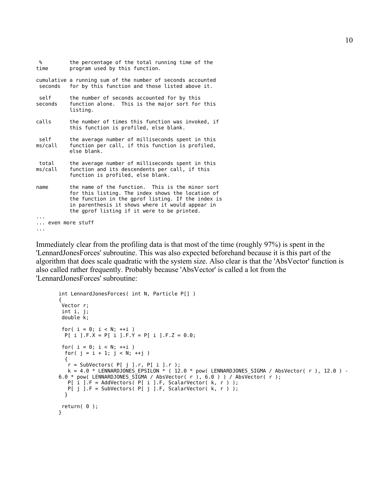```
 % the percentage of the total running time of the
time program used by this function.
cumulative a running sum of the number of seconds accounted
 seconds for by this function and those listed above it.
self the number of seconds accounted for by this
seconds function alone. This is the major sort for this
           listing.
calls the number of times this function was invoked, if
           this function is profiled, else blank.
self the average number of milliseconds spent in this
ms/call function per call, if this function is profiled,
           else blank.
 total the average number of milliseconds spent in this
ms/call function and its descendents per call, if this
           function is profiled, else blank.
name the name of the function. This is the minor sort
           for this listing. The index shows the location of
           the function in the gprof listing. If the index is
           in parenthesis it shows where it would appear in
           the gprof listing if it were to be printed.
...
... even more stuff 
...
```
Immediately clear from the profiling data is that most of the time (roughly 97%) is spent in the 'LennardJonesForces' subroutine. This was also expected beforehand because it is this part of the algorithm that does scale quadratic with the system size. Also clear is that the 'AbsVector' function is also called rather frequently. Probably because 'AbsVector' is called a lot from the 'LennardJonesForces' subroutine:

```
int LennardJonesForces( int N, Particle P[] )
{
 Vector r;
 int i, j;
 double k;
for( i = 0; i < N; ++i)
  P[ i ].F.X = P[ i ].F.Y = P[ i ].F.Z = 0.0;
 for( i = 0; i < N; ++i )
 for( j = i + 1; j < N; ++j )
   {
   r = SubVectors( P[ j ].r, P[ i ].r);k = 4.0 * LENNARDJONES_EPSILON * ( 12.0 * pow( LENNARDJONES_SIGMA / AbsVector( r ), 12.0 ) -
6.0 * pow( LENNARDJONES_SIGMA / AbsVector( r ), 6.0 ) ) / AbsVector( r );
 P[ i ].F = AddVectors( P[ i ].F, ScalarVector( k, r ) );
 P[ j ].F = SubVectors( P[ j ].F, ScalarVector( k, r ) );
   }
 return( 0 );
}
```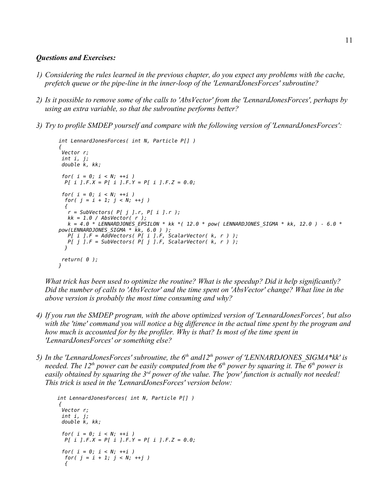#### *Questions and Exercises:*

- *1) Considering the rules learned in the previous chapter, do you expect any problems with the cache, prefetch queue or the pipe-line in the inner-loop of the 'LennardJonesForces' subroutine?*
- *2) Is it possible to remove some of the calls to 'AbsVector' from the 'LennardJonesForces', perhaps by using an extra variable, so that the subroutine performs better?*
- *3) Try to profile SMDEP yourself and compare with the following version of 'LennardJonesForces':*

```
int LennardJonesForces( int N, Particle P[] )
{
 Vector r;
 int i, j;
 double k, kk;
 for( i = 0; i < N; ++i )
  P[ i ].F.X = P[ i ].F.Y = P[ i ].F.Z = 0.0;
  for( i = 0; i < N; ++i )
 for(j = i + 1; j < N; ++j)
   {
    r = SubVectors( P[ j ].r, P[ i ].r );
 kk = 1.0 / AbsVector( r );
 k = 4.0 * LENNARDJONES_EPSILON * kk *( 12.0 * pow( LENNARDJONES_SIGMA * kk, 12.0 ) - 6.0 * 
pow(LENNARDJONES\_SIGMA * \overline{k}k, 6.0) );
   P[ i ].F = AddVectors( P[ i ].F, ScalarVector( k, r ) );
   P[ j ].F = SubVectors( P[ j ].F, ScalarVector( k, r ) );
 }
 return( 0 );
}
```
*What trick has been used to optimize the routine? What is the speedup? Did it help significantly? Did the number of calls to 'AbsVector' and the time spent on 'AbsVector' change? What line in the above version is probably the most time consuming and why?*

- *4) If you run the SMDEP program, with the above optimized version of 'LennardJonesForces', but also with the 'time' command you will notice a big difference in the actual time spent by the program and how much is accounted for by the profiler. Why is that? Is most of the time spent in 'LennardJonesForces' or something else?*
- *5) In the 'LennardJonesForces' subroutine, the 6th and12th power of 'LENNARDJONES\_SIGMA\*kk' is needed. The 12th power can be easily computed from the 6th power by squaring it. The 6th power is easily obtained by squaring the 3rd power of the value. The 'pow' function is actually not needed! This trick is used in the 'LennardJonesForces' version below:*

```
 int LennardJonesForces( int N, Particle P[] )
{
  Vector r;
  int i, j;
  double k, kk;
  for( i = 0; i < N; ++i )
   P[ i ].F.X = P[ i ].F.Y = P[ i ].F.Z = 0.0;
  for( i = 0; i < N; ++i )
   for( j = i + 1; j < N; ++j )
   {
```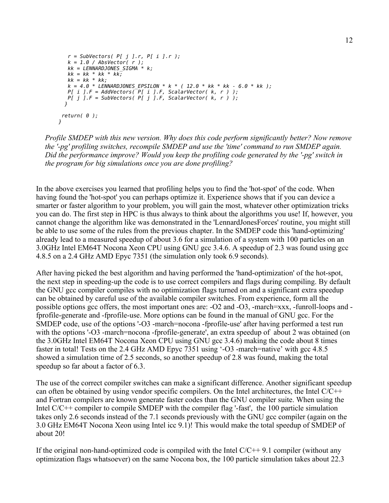```
 r = SubVectors( P[ j ].r, P[ i ].r );
   k = 1.0 / AbsVector( r );
   kk = LENNARDJONES_SIGMA * k;
  kk = kk * kk * kk; kk = kk * kk;
   k = 4.0 * LENNARDJONES_EPSILON * k * ( 12.0 * kk * kk - 6.0 * kk );
   P[ i ].F = AddVectors( P[ i ].F, ScalarVector( k, r ) );
   P[ j ].F = SubVectors( P[ j ].F, ScalarVector( k, r ) );
 }
 return( 0 );
}
```
*Profile SMDEP with this new version. Why does this code perform significantly better? Now remove the '-pg' profiling switches, recompile SMDEP and use the 'time' command to run SMDEP again. Did the performance improve? Would you keep the profiling code generated by the '-pg' switch in the program for big simulations once you are done profiling?*

In the above exercises you learned that profiling helps you to find the 'hot-spot' of the code. When having found the 'hot-spot' you can perhaps optimize it. Experience shows that if you can device a smarter or faster algorithm to your problem, you will gain the most, whatever other optimization tricks you can do. The first step in HPC is thus always to think about the algorithms you use! If, however, you cannot change the algorithm like was demonstrated in the 'LennardJonesForces' routine, you might still be able to use some of the rules from the previous chapter. In the SMDEP code this 'hand-optimizing' already lead to a measured speedup of about 3.6 for a simulation of a system with 100 particles on an 3.0GHz Intel EM64T Nocona Xeon CPU using GNU gcc 3.4.6. A speedup of 2.3 was found using gcc 4.8.5 on a 2.4 GHz AMD Epyc 7351 (the simulation only took 6.9 seconds).

After having picked the best algorithm and having performed the 'hand-optimization' of the hot-spot, the next step in speeding-up the code is to use correct compilers and flags during compiling. By default the GNU gcc compiler compiles with no optimization flags turned on and a significant extra speedup can be obtained by careful use of the available compiler switches. From experience, form all the possible options gcc offers, the most important ones are: -O2 and -O3, -march=xxx, -funroll-loops and fprofile-generate and -fprofile-use. More options can be found in the manual of GNU gcc. For the SMDEP code, use of the options '-O3 -march=nocona -fprofile-use' after having performed a test run with the options '-O3 -march=nocona -fprofile-generate', an extra speedup of about 2 was obtained (on the 3.0GHz Intel EM64T Nocona Xeon CPU using GNU gcc 3.4.6) making the code about 8 times faster in total! Tests on the 2.4 GHz AMD Epyc 7351 using '-O3 -march=native' with gcc 4.8.5 showed a simulation time of 2.5 seconds, so another speedup of 2.8 was found, making the total speedup so far about a factor of 6.3.

The use of the correct compiler switches can make a significant difference. Another significant speedup can often be obtained by using vendor specific compilers. On the Intel architectures, the Intel C/C++ and Fortran compilers are known generate faster codes than the GNU compiler suite. When using the Intel C/C++ compiler to compile SMDEP with the compiler flag '-fast', the 100 particle simulation takes only 2.6 seconds instead of the 7.1 seconds previously with the GNU gcc compiler (again on the 3.0 GHz EM64T Nocona Xeon using Intel icc 9.1)! This would make the total speedup of SMDEP of about 20!

If the original non-hand-optimized code is compiled with the Intel  $C/C++9.1$  compiler (without any optimization flags whatsoever) on the same Nocona box, the 100 particle simulation takes about 22.3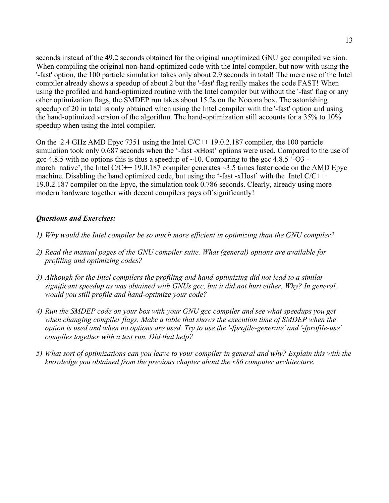seconds instead of the 49.2 seconds obtained for the original unoptimized GNU gcc compiled version. When compiling the original non-hand-optimized code with the Intel compiler, but now with using the '-fast' option, the 100 particle simulation takes only about 2.9 seconds in total! The mere use of the Intel compiler already shows a speedup of about 2 but the '-fast' flag really makes the code FAST! When using the profiled and hand-optimized routine with the Intel compiler but without the '-fast' flag or any other optimization flags, the SMDEP run takes about 15.2s on the Nocona box. The astonishing speedup of 20 in total is only obtained when using the Intel compiler with the '-fast' option and using the hand-optimized version of the algorithm. The hand-optimization still accounts for a 35% to 10% speedup when using the Intel compiler.

On the 2.4 GHz AMD Epyc 7351 using the Intel C/C++ 19.0.2.187 compiler, the 100 particle simulation took only 0.687 seconds when the '-fast -xHost' options were used. Compared to the use of gcc 4.8.5 with no options this is thus a speedup of  $\sim$ 10. Comparing to the gcc 4.8.5  $\cdot$ -O3 march=native', the Intel  $C/C++19.0.187$  compiler generates  $\sim$ 3.5 times faster code on the AMD Epyc machine. Disabling the hand optimized code, but using the '-fast -xHost' with the Intel  $C/C++$ 19.0.2.187 compiler on the Epyc, the simulation took 0.786 seconds. Clearly, already using more modern hardware together with decent compilers pays off significantly!

## *Questions and Exercises:*

- *1) Why would the Intel compiler be so much more efficient in optimizing than the GNU compiler?*
- *2) Read the manual pages of the GNU compiler suite. What (general) options are available for profiling and optimizing codes?*
- *3) Although for the Intel compilers the profiling and hand-optimizing did not lead to a similar significant speedup as was obtained with GNUs gcc, but it did not hurt either. Why? In general, would you still profile and hand-optimize your code?*
- *4) Run the SMDEP code on your box with your GNU gcc compiler and see what speedups you get*  when changing compiler flags. Make a table that shows the execution time of SMDEP when the *option is used and when no options are used. Try to use the '-fprofile-generate' and '-fprofile-use' compiles together with a test run. Did that help?*
- *5) What sort of optimizations can you leave to your compiler in general and why? Explain this with the knowledge you obtained from the previous chapter about the x86 computer architecture.*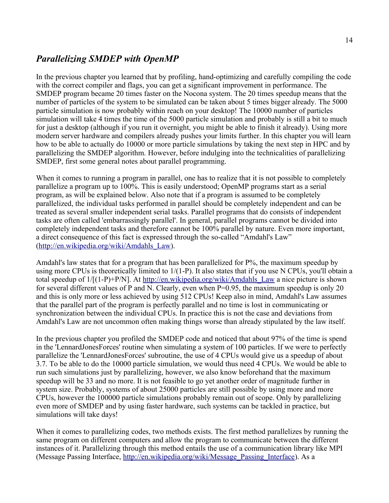## *Parallelizing SMDEP with OpenMP*

In the previous chapter you learned that by profiling, hand-optimizing and carefully compiling the code with the correct compiler and flags, you can get a significant improvement in performance. The SMDEP program became 20 times faster on the Nocona system. The 20 times speedup means that the number of particles of the system to be simulated can be taken about 5 times bigger already. The 5000 particle simulation is now probably within reach on your desktop! The 10000 number of particles simulation will take 4 times the time of the 5000 particle simulation and probably is still a bit to much for just a desktop (although if you run it overnight, you might be able to finish it already). Using more modern server hardware and compilers already pushes your limits further. In this chapter you will learn how to be able to actually do 10000 or more particle simulations by taking the next step in HPC and by parallelizing the SMDEP algorithm. However, before indulging into the technicalities of parallelizing SMDEP, first some general notes about parallel programming.

When it comes to running a program in parallel, one has to realize that it is not possible to completely parallelize a program up to 100%. This is easily understood; OpenMP programs start as a serial program, as will be explained below. Also note that if a program is assumed to be completely parallelized, the individual tasks performed in parallel should be completely independent and can be treated as several smaller independent serial tasks. Parallel programs that do consists of independent tasks are often called 'embarrassingly parallel'. In general, parallel programs cannot be divided into completely independent tasks and therefore cannot be 100% parallel by nature. Even more important, a direct consequence of this fact is expressed through the so-called "Amdahl's Law" [\(http://en.wikipedia.org/wiki/Amdahls\\_Law\)](http://en.wikipedia.org/wiki/Amdahls_Law).

Amdahl's law states that for a program that has been parallelized for P%, the maximum speedup by using more CPUs is theoretically limited to  $1/(1-P)$ . It also states that if you use N CPUs, you'll obtain a total speedup of  $1/[(1-P)+P/N]$ . At [http://en.wikipedia.org/wiki/Amdahls\\_Law](http://en.wikipedia.org/wiki/Amdahls_Law) a nice picture is shown for several different values of P and N. Clearly, even when P=0.95, the maximum speedup is only 20 and this is only more or less achieved by using 512 CPUs! Keep also in mind, Amdahl's Law assumes that the parallel part of the program is perfectly parallel and no time is lost in communicating or synchronization between the individual CPUs. In practice this is not the case and deviations from Amdahl's Law are not uncommon often making things worse than already stipulated by the law itself.

In the previous chapter you profiled the SMDEP code and noticed that about 97% of the time is spend in the 'LennardJonesForces' routine when simulating a system of 100 particles. If we were to perfectly parallelize the 'LennardJonesForces' subroutine, the use of 4 CPUs would give us a speedup of about 3.7. To be able to do the 10000 particle simulation, we would thus need 4 CPUs. We would be able to run such simulations just by parallelizing, however, we also know beforehand that the maximum speedup will be 33 and no more. It is not feasible to go yet another order of magnitude further in system size. Probably, systems of about 25000 particles are still possible by using more and more CPUs, however the 100000 particle simulations probably remain out of scope. Only by parallelizing even more of SMDEP and by using faster hardware, such systems can be tackled in practice, but simulations will take days!

When it comes to parallelizing codes, two methods exists. The first method parallelizes by running the same program on different computers and allow the program to communicate between the different instances of it. Parallelizing through this method entails the use of a communication library like MPI (Message Passing Interface, [http://en.wikipedia.org/wiki/Message\\_Passing\\_Interface\)](http://en.wikipedia.org/wiki/Message_Passing_Interface). As a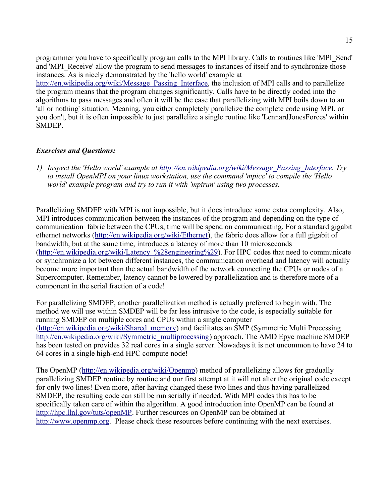programmer you have to specifically program calls to the MPI library. Calls to routines like 'MPI\_Send' and 'MPI\_Receive' allow the program to send messages to instances of itself and to synchronize those instances. As is nicely demonstrated by the 'hello world' example at [http://en.wikipedia.org/wiki/Message\\_Passing\\_Interface,](http://en.wikipedia.org/wiki/Message_Passing_Interface) the inclusion of MPI calls and to parallelize the program means that the program changes significantly. Calls have to be directly coded into the algorithms to pass messages and often it will be the case that parallelizing with MPI boils down to an 'all or nothing' situation. Meaning, you either completely parallelize the complete code using MPI, or you don't, but it is often impossible to just parallelize a single routine like 'LennardJonesForces' within SMDEP.

### *Exercises and Questions:*

*1) Inspect the 'Hello world' example at [http://en.wikipedia.org/wiki/Message\\_Passing\\_Interface.](http://en.wikipedia.org/wiki/Message_Passing_Interface) Try to install OpenMPI on your linux workstation, use the command 'mpicc' to compile the 'Hello world' example program and try to run it with 'mpirun' using two processes.* 

Parallelizing SMDEP with MPI is not impossible, but it does introduce some extra complexity. Also, MPI introduces communication between the instances of the program and depending on the type of communication fabric between the CPUs, time will be spend on communicating. For a standard gigabit ethernet networks [\(http://en.wikipedia.org/wiki/Ethernet\)](http://en.wikipedia.org/wiki/Ethernet), the fabric does allow for a full gigabit of bandwidth, but at the same time, introduces a latency of more than 10 microseconds (http://en.wikipedia.org/wiki/Latency %28engineering%29). For HPC codes that need to communicate or synchronize a lot between different instances, the communication overhead and latency will actually become more important than the actual bandwidth of the network connecting the CPUs or nodes of a Supercomputer. Remember, latency cannot be lowered by parallelization and is therefore more of a component in the serial fraction of a code!

For parallelizing SMDEP, another parallelization method is actually preferred to begin with. The method we will use within SMDEP will be far less intrusive to the code, is especially suitable for running SMDEP on multiple cores and CPUs within a single computer [\(http://en.wikipedia.org/wiki/Shared\\_memory\)](http://en.wikipedia.org/wiki/Shared_memory) and facilitates an SMP (Symmetric Multi Processing [http://en.wikipedia.org/wiki/Symmetric\\_multiprocessing\)](http://en.wikipedia.org/wiki/Symmetric_multiprocessing) approach. The AMD Epyc machine SMDEP has been tested on provides 32 real cores in a single server. Nowadays it is not uncommon to have 24 to 64 cores in a single high-end HPC compute node!

The OpenMP [\(http://en.wikipedia.org/wiki/Openmp\)](http://en.wikipedia.org/wiki/Openmp) method of parallelizing allows for gradually parallelizing SMDEP routine by routine and our first attempt at it will not alter the original code except for only two lines! Even more, after having changed these two lines and thus having parallelized SMDEP, the resulting code can still be run serially if needed. With MPI codes this has to be specifically taken care of within the algorithm. A good introduction into OpenMP can be found at [http://hpc.llnl.gov/tuts/openMP.](http://hpc.llnl.gov/tuts/openMP/) Further resources on OpenMP can be obtained at [http://www.openmp.org.](http://www.openmp.org/) Please check these resources before continuing with the next exercises.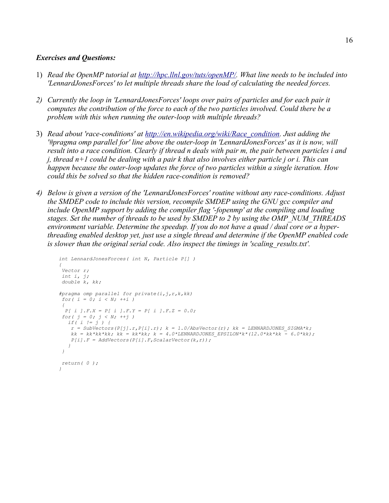### *Exercises and Questions:*

- 1) *Read the OpenMP tutorial at [http://hpc.llnl.gov/tuts/openMP/.](http://hpc.llnl.gov/tuts/openMP/) What line needs to be included into 'LennardJonesForces' to let multiple threads share the load of calculating the needed forces.*
- *2) Currently the loop in 'LennardJonesForces' loops over pairs of particles and for each pair it computes the contribution of the force to each of the two particles involved. Could there be a problem with this when running the outer-loop with multiple threads?*
- 3) *Read about 'race-conditions' at [http://en.wikipedia.org/wiki/Race\\_condition.](http://en.wikipedia.org/wiki/Race_condition) Just adding the '#pragma omp parallel for' line above the outer-loop in 'LennardJonesForces' as it is now, will result into a race condition. Clearly if thread n deals with pair m, the pair between particles i and j, thread n+1 could be dealing with a pair k that also involves either particle j or i. This can happen because the outer-loop updates the force of two particles within a single iteration. How could this be solved so that the hidden race-condition is removed?*
- *4) Below is given a version of the 'LennardJonesForces' routine without any race-conditions. Adjust the SMDEP code to include this version, recompile SMDEP using the GNU gcc compiler and include OpenMP support by adding the compiler flag '-fopenmp' at the compiling and loading stages. Set the number of threads to be used by SMDEP to 2 by using the OMP\_NUM\_THREADS environment variable. Determine the speedup. If you do not have a quad / dual core or a hyperthreading enabled desktop yet, just use a single thread and determine if the OpenMP enabled code is slower than the original serial code. Also inspect the timings in 'scaling\_results.txt'.*

```
int LennardJonesForces( int N, Particle P[] ) 
{ 
 Vector r; 
 int i, j; 
 double k, kk; 
#pragma omp parallel for private(i,j,r,k,kk) 
 for( i = 0; i < N; ++i ) 
 { 
 P[ i ].F.X = P[ i ].F.Y = P[ i ].F.Z = 0.0; 
for( j = 0; j < N; ++j)
   if( i != j ) { 
   r = SubVectors(P[j], r, P[i], r); k = 1.0/AbsVector(r); kk = LENNARDJONES SIGNA*k;kk = kk*kk*kk; kk = kk*kk; k = 4.0*LEMNARDJONES EPSILON*k*(12.0*kk*k - 6.0*kk); P[i].F = AddVectors(P[i].F,ScalarVector(k,r)); 
   } 
 } 
 return( 0 ); 
}
```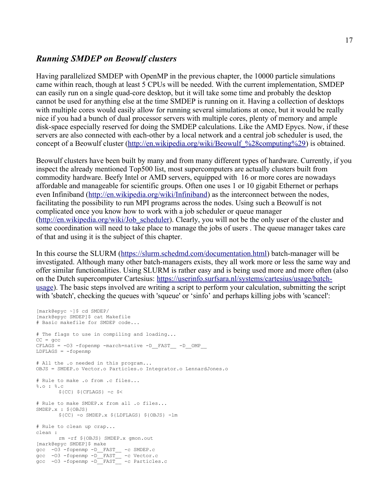## *Running SMDEP on Beowulf clusters*

Having parallelized SMDEP with OpenMP in the previous chapter, the 10000 particle simulations came within reach, though at least 5 CPUs will be needed. With the current implementation, SMDEP can easily run on a single quad-core desktop, but it will take some time and probably the desktop cannot be used for anything else at the time SMDEP is running on it. Having a collection of desktops with multiple cores would easily allow for running several simulations at once, but it would be really nice if you had a bunch of dual processor servers with multiple cores, plenty of memory and ample disk-space especially reserved for doing the SMDEP calculations. Like the AMD Epycs. Now, if these servers are also connected with each-other by a local network and a central job scheduler is used, the concept of a Beowulf cluster (http://en.wikipedia.org/wiki/Beowulf %28computing%29) is obtained.

Beowulf clusters have been built by many and from many different types of hardware. Currently, if you inspect the already mentioned Top500 list, most supercomputers are actually clusters built from commodity hardware. Beefy Intel or AMD servers, equipped with 16 or more cores are nowadays affordable and manageable for scientific groups. Often one uses 1 or 10 gigabit Ethernet or perhaps even Infiniband [\(http://en.wikipedia.org/wiki/Infiniband\)](http://en.wikipedia.org/wiki/Infiniband) as the interconnect between the nodes, facilitating the possibility to run MPI programs across the nodes. Using such a Beowulf is not complicated once you know how to work with a job scheduler or queue manager [\(http://en.wikipedia.org/wiki/Job\\_scheduler\)](http://en.wikipedia.org/wiki/Job_scheduler). Clearly, you will not be the only user of the cluster and some coordination will need to take place to manage the jobs of users . The queue manager takes care of that and using it is the subject of this chapter.

In this course the SLURM [\(https://slurm.schedmd.com/documentation.html\)](https://slurm.schedmd.com/documentation.html) batch-manager will be investigated. Although many other batch-managers exists, they all work more or less the same way and offer similar functionalities. Using SLURM is rather easy and is being used more and more often (also on the Dutch supercomputer Cartesius: [https://userinfo.surfsara.nl/systems/cartesius/usage/batch](https://userinfo.surfsara.nl/systems/cartesius/usage/batch-usage)[usage\)](https://userinfo.surfsara.nl/systems/cartesius/usage/batch-usage). The basic steps involved are writing a script to perform your calculation, submitting the script with 'sbatch', checking the queues with 'squeue' or 'sinfo' and perhaps killing jobs with 'scancel':

```
[mark@epyc ~]$ cd SMDEP/
[mark@epyc SMDEP]$ cat Makefile 
# Basic makefile for SMDEP code...
# The flags to use in compiling and loading...
CC = qccCFLAGS = -03 -fopenmp -march=native -D FAST -D OMP
LDFLAGS = -fopennp# All the .o needed in this program...
OBJS = SMDEP.o Vector.o Particles.o Integrator.o LennardJones.o
# Rule to make .o from .c files...
%.o : %.c
       ${CC} ${CFLAGS} -c $<# Rule to make SMDEP.x from all .o files...
SMDEP.x : ${OBJS}
       ${CC} -o SMDEP.x ${LDFLAGS} ${OBJS} -lm
# Rule to clean up crap...
clean :
      rm -rf ${OBJS} SMDEP.x gmon.out
[mark@epyc SMDEP]$ make
gcc -O3 -fopenmp -D__FAST__ -c SMDEP.c
gcc -O3 -fopenmp -D__FAST__ -c Vector.c
gcc -O3 -fopenmp -D__FAST__ -c Particles.c
```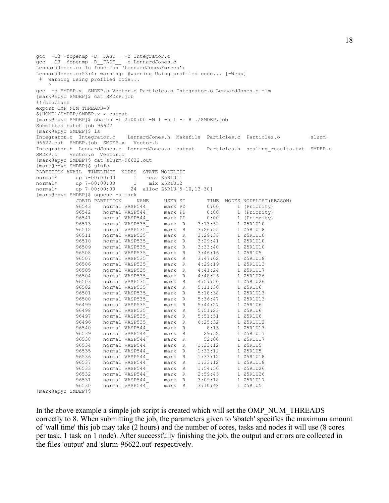```
gcc -O3 -fopenmp -D__FAST__ -c Integrator.c
gcc -O3 -fopenmp -D__FAST__ -c LennardJones.c
LennardJones.c: In function 'LennardJonesForces':
LennardJones.c:53:4: warning: #warning Using profiled code... [-Wcpp]
  # warning Using profiled code...
\sim \simgcc -o SMDEP.x SMDEP.o Vector.o Particles.o Integrator.o LennardJones.o -lm
[mark@epyc SMDEP]$ cat SMDEP.job 
#!/bin/bash
export OMP_NUM_THREADS=8
${HOME}/SMDEP/SMDEP.x > output
[\text{mark@epyc} SMDEP]$ sbatch -t 2:00:00 -N 1 -n 1 -c 8 ./SMDEP.job
Submitted batch job 96622
[mark@epyc SMDEP]$ ls
Integrator.c Integrator.o LennardJones.h Makefile Particles.c Particles.o slurm-
96622.out SMDEP.job SMDEP.x Vector.h
Integrator.h LennardJones.c LennardJones.o output Particles.h scaling_results.txt SMDEP.c 
SMDEP.o Vector.c Vector.o
[mark@epyc SMDEP]$ cat slurm-96622.out 
[mark@epyc SMDEP]$ sinfo
PARTITION AVAIL TIMELIMIT NODES STATE NODELIST
normal* up 7-00:00:00 1 resv Z5R1U11
normal* up 7-00:00:00 1 mix Z5R1U12
normal* up 7-00:00:00 24 alloc Z5R1U[5-10,13-30]
[mark@epyc SMDEP]$ squeue -u mark
 JOBID PARTITION NAME USER ST TIME NODES NODELIST(REASON)
 96543 normal VASP544_ mark PD 0:00 1 (Priority)
             96542 normal VASP544<sup>--</sup> mark PD 0:00 1 (Priority)<br>96541 normal VASP544<sup>--</sup> mark PD 0:00 1 (Priority)<br>96513 normal VASP535<sup>-</sup> mark R 3:13:52 1 Z5R1U10
 96541 normal VASP544_ mark PD 0:00 1 (Priority)
 96513 normal VASP535_ mark R 3:13:52 1 Z5R1U10
             96513 normal VASP535_ mark R 3:13:52 1 25R1U10<br>96512 normal VASP535_ mark R 3:26:55 1 Z5R1U18<br>96511 normal VASP535_ mark R 3:29:35 1 Z5R1U10<br>96511 normal VASP535_ mark R 3:29:35 1 Z5R1U10
             96511 normal VASP535 mark R 3:29:35 1 Z5R1U10<br>96510 normal VASP535 mark R 3:29:41 1 Z5R1U10
 96510 normal VASP535_ mark R 3:29:41 1 Z5R1U10
 96509 normal VASP535_ mark R 3:33:40 1 Z5R1U10
             96508 normal VASP535<br>
96507 normal VASP535<br>
96506 normal VASP535<br>
96506 normal VASP535<br>
mark R 4:29:19 1 Z5R1U13
 96507 normal VASP535_ mark R 3:47:02 1 Z5R1U18
 96506 normal VASP535_ mark R 4:29:19 1 Z5R1U13
             96505 normal VASP535_<br>96504 normal VASP535_ mark R 4:48:26 1 Z5R1U26
             96504 normal VASP535_<br>96503 normal VASP535_ mark R 4:57:50 1 Z5R1U26
                                           mark R 4:57:50 1 Z5R1U26<br>mark R 5:11:30 1 Z5R1U6
             96502 normal vibricist<sub>2</sub> mark R 5:11:30<br>96502 normal VASP535 mark R 5:18:38
             96501 normal VASP535_ mark R 5:18:38 1 Z5R1U13<br>96500 normal VASP535_ mark R 5:36:47 1 Z5R1U13<br>96499 normal VASP535 mark R 5:44:27 1 Z5R1U6
 96500 normal VASP535_ mark R 5:36:47 1 Z5R1U13
 96499 normal VASP535_ mark R 5:44:27 1 Z5R1U6
             96499 normal VASP535_<br>
96498 normal VASP535_ mark R 5:51:23 1 Z5R1U6<br>
96497 normal VASP535_ mark R 5:51:51 1 Z5R1U6
 96497 normal VASP535_ mark R 5:51:51 1 Z5R1U6
 96496 normal VASP535_ mark R 6:25:32 1 Z5R1U12
 96540 normal VASP544_ mark R 8:15 1 Z5R1U13
 96539 normal VASP544_ mark R 29:52 1 Z5R1U17
 96538 normal VASP544_ mark R 52:00 1 Z5R1U17
 96534 normal VASP544_ mark R 1:33:12 1 Z5R1U5
 96535 normal VASP544_ mark R 1:33:12 1 Z5R1U5
             96535 1101 normal VASP544_ mark R 1:33:12 1 Z5R1U18<br>96536 normal VASP544_ mark R 1:33:12 1 Z5R1U18<br>96537 normal VASP544_ mark R 1:33:12 1 Z5R1U18
 96537 normal VASP544_ mark R 1:33:12 1 Z5R1U18
 96533 normal VASP544_ mark R 1:54:50 1 Z5R1U26
              96533 normal VASP544<sup>--</sup> mark R 1:54:50 1 Z5R1U26<br>96532 normal VASP544<sup>--</sup> mark R 2:59:45 1 Z5R1U26<br>96531 normal VASP544<sup>--</sup> mark R 3:09:18 1 Z5R1U17
             96531 normal VASP544_<br>96530 normal VASP544_
              96531 normal VASP544_ mark R 3:09:18 1 Z5R1U1<br>96530 normal VASP544_ mark R 3:10:48 1 Z5R1U5
```
[mark@epyc SMDEP]\$

In the above example a simple job script is created which will set the OMP\_NUM\_THREADS correctly to 8. When submitting the job, the parameters given to 'sbatch' specifies the maximum amount of 'wall time' this job may take (2 hours) and the number of cores, tasks and nodes it will use (8 cores per task, 1 task on 1 node). After successfully finishing the job, the output and errors are collected in the files 'output' and 'slurm-96622.out' respectively.